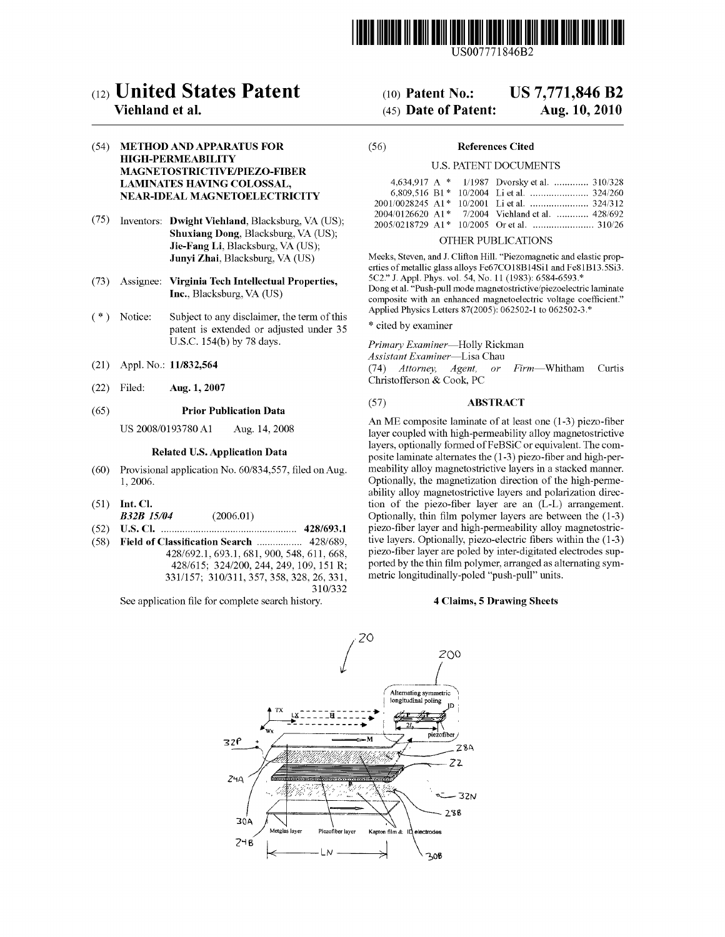

# (12) United States Patent

# Viehland et al.

## (54) METHOD AND APPARATUS FOR **HIGH-PERMEABILITY** MAGNETOSTRICTIVE/PIEZO-FIBER **LAMINATES HAVING COLOSSAL,** NEAR-IDEAL MAGNETOELECTRICITY

- (75) Inventors: Dwight Viehland, Blacksburg, VA (US); Shuxiang Dong, Blacksburg, VA (US); Jie-Fang Li, Blacksburg, VA (US); Junyi Zhai, Blacksburg, VA (US)
- Assignee: Virginia Tech Intellectual Properties,  $(73)$ Inc., Blacksburg, VA (US)
- $(* )$  Notice: Subject to any disclaimer, the term of this patent is extended or adjusted under 35 U.S.C. 154(b) by 78 days.
- Appl. No.: 11/832,564  $(21)$
- Filed: Aug. 1, 2007  $(22)$

#### $(65)$ **Prior Publication Data**

US 2008/0193780 A1 Aug. 14, 2008

### **Related U.S. Application Data**

- $(60)$ Provisional application No. 60/834,557, filed on Aug. 1,2006.
- $(51)$  Int. Cl.
- **B32B** 15/04  $(2006.01)$
- $(58)$ Field of Classification Search ................. 428/689, 428/692.1, 693.1, 681, 900, 548, 611, 668, 428/615; 324/200, 244, 249, 109, 151 R; 331/157; 310/311, 357, 358, 328, 26, 331, 310/332

See application file for complete search history.

# **US 7,771,846 B2**  $(10)$  Patent No.:

### (45) Date of Patent: Aug. 10, 2010

#### $(56)$ **References Cited**

### **U.S. PATENT DOCUMENTS**

|  | 4,634,917 A * 1/1987 Dvorsky et al.  310/328     |  |
|--|--------------------------------------------------|--|
|  |                                                  |  |
|  |                                                  |  |
|  | 2004/0126620 A1* 7/2004 Viehland et al.  428/692 |  |
|  |                                                  |  |

### OTHER PUBLICATIONS

Meeks, Steven, and J. Clifton Hill. "Piezomagnetic and elastic properties of metallic glass alloys Fe67CO18B14Si1 and Fe81B13.5Si3. 5C2." J. Appl. Phys. vol. 54, No. 11 (1983): 6584-6593.\* Dong et al. "Push-pull mode magnetostrictive/piezoelectric laminate composite with an enhanced magnetoelectric voltage coefficient." Applied Physics Letters 87(2005): 062502-1 to 062502-3.\*

\* cited by examiner

Primary Examiner-Holly Rickman

Assistant Examiner-Lisa Chau

(74) Attorney, Agent, *or Firm*—Whitham Curtis Christofferson & Cook, PC

#### $(57)$ **ABSTRACT**

An ME composite laminate of at least one (1-3) piezo-fiber layer coupled with high-permeability alloy magnetostrictive layers, optionally formed of FeBSiC or equivalent. The composite laminate alternates the (1-3) piezo-fiber and high-permeability alloy magnetostrictive layers in a stacked manner. Optionally, the magnetization direction of the high-permeability alloy magnetostrictive layers and polarization direction of the piezo-fiber layer are an  $(L-L)$  arrangement. Optionally, thin film polymer layers are between the  $(1-3)$ piezo-fiber layer and high-permeability alloy magnetostrictive layers. Optionally, piezo-electric fibers within the (1-3) piezo-fiber layer are poled by inter-digitated electrodes supported by the thin film polymer, arranged as alternating symmetric longitudinally-poled "push-pull" units.

### **4 Claims, 5 Drawing Sheets**

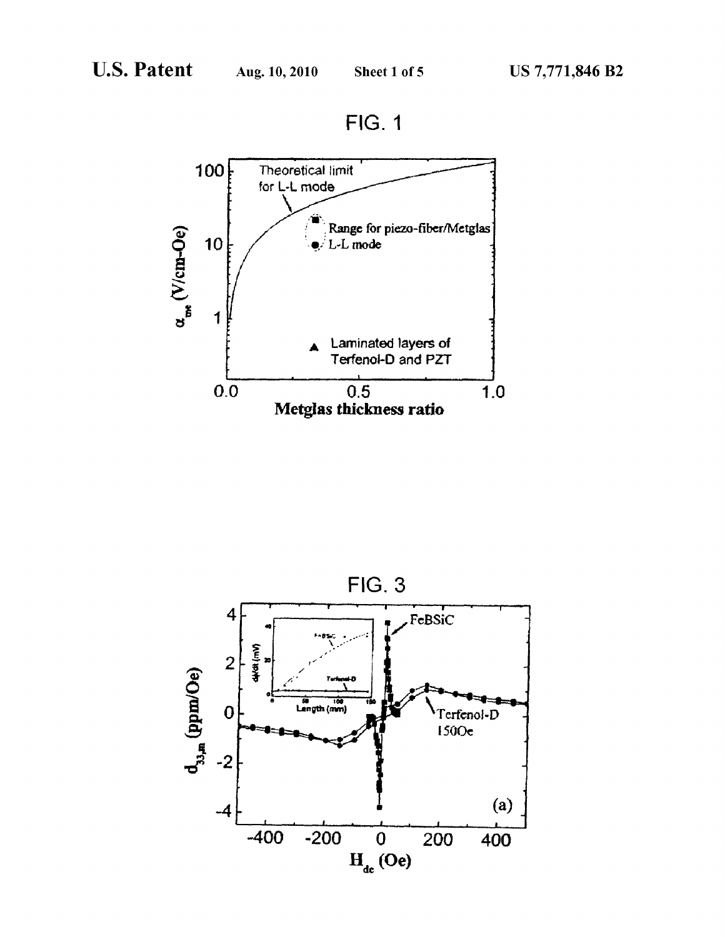**FIG. 1** 



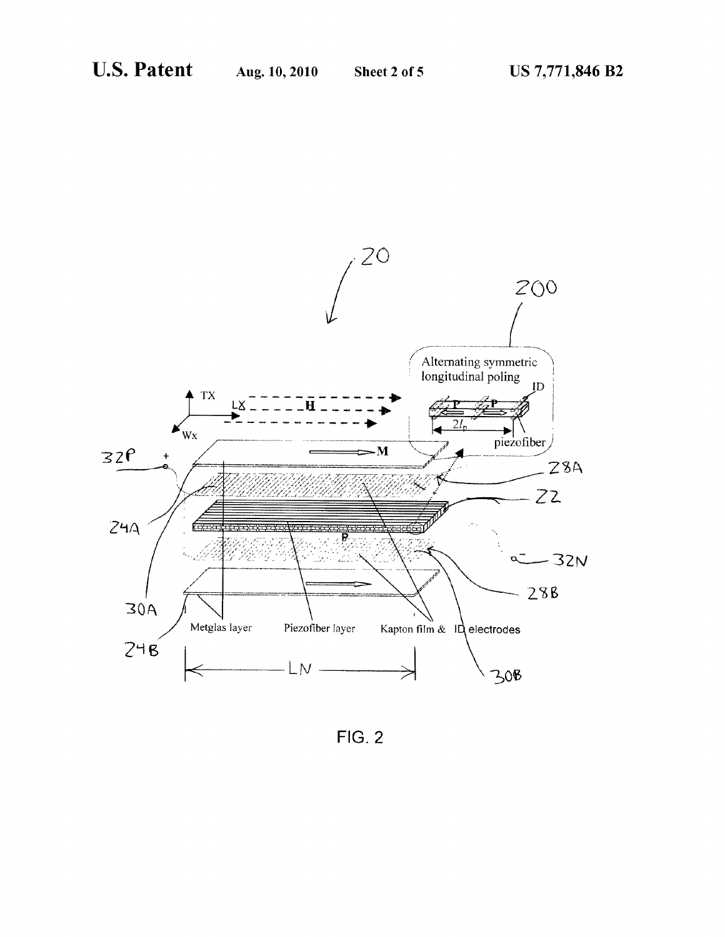

**FIG. 2**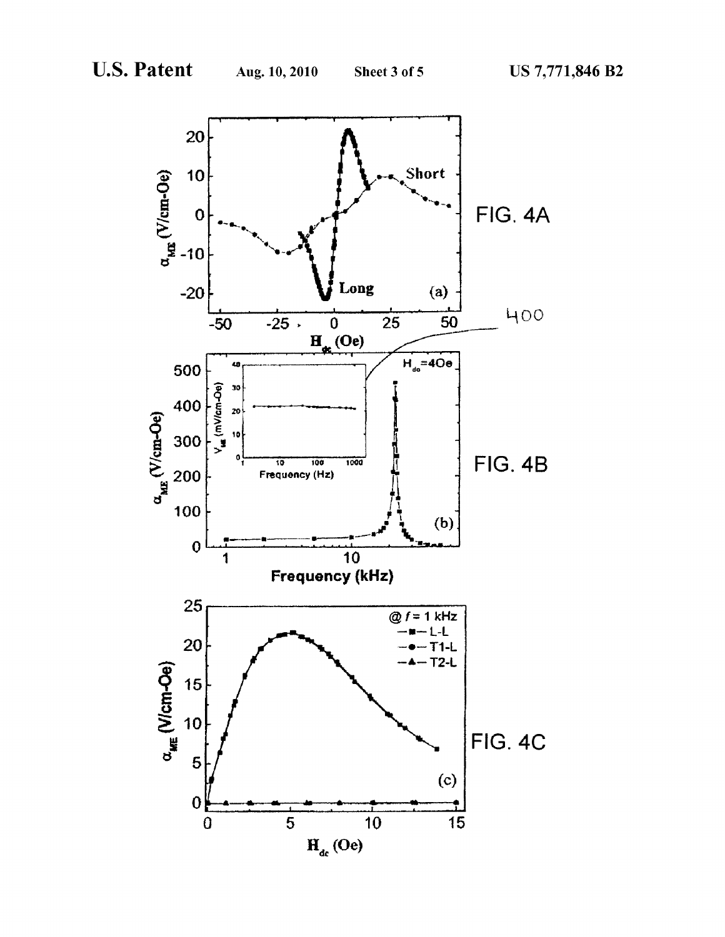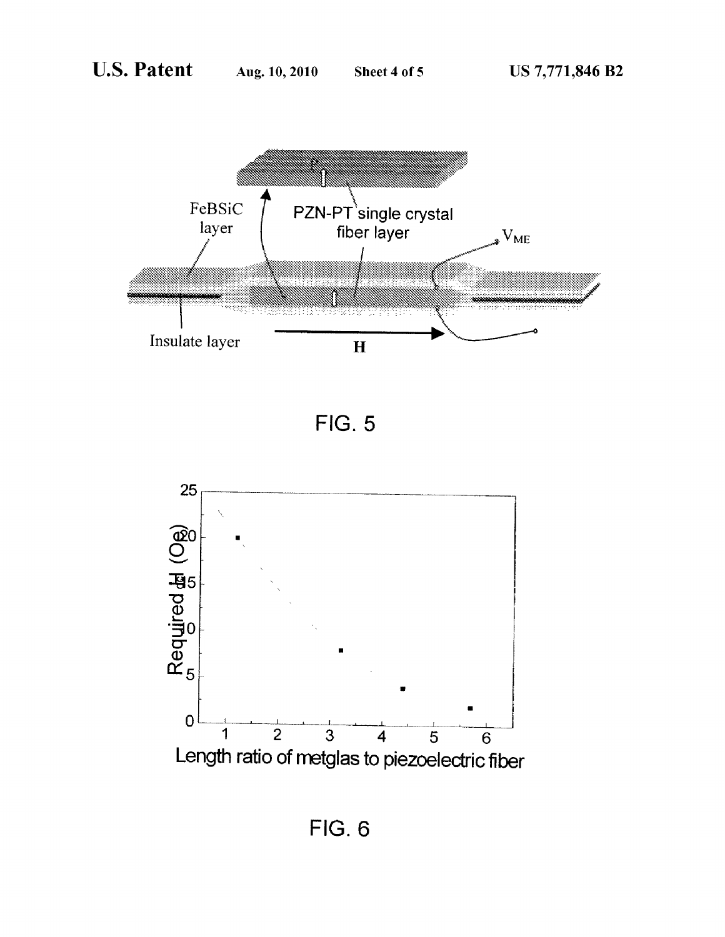





**FIG. 6**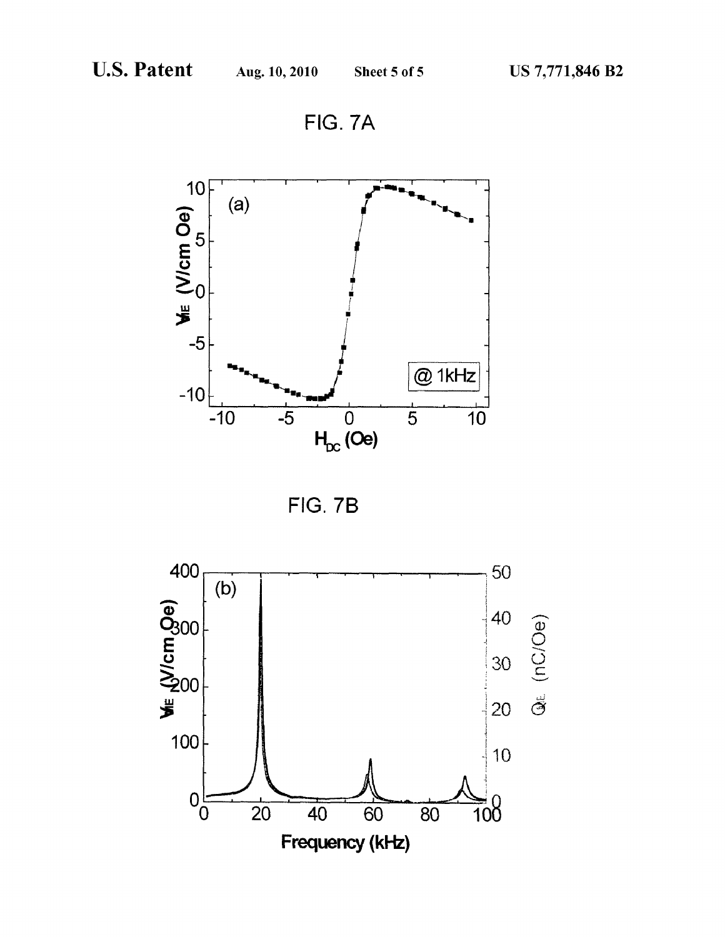FIG. 7A





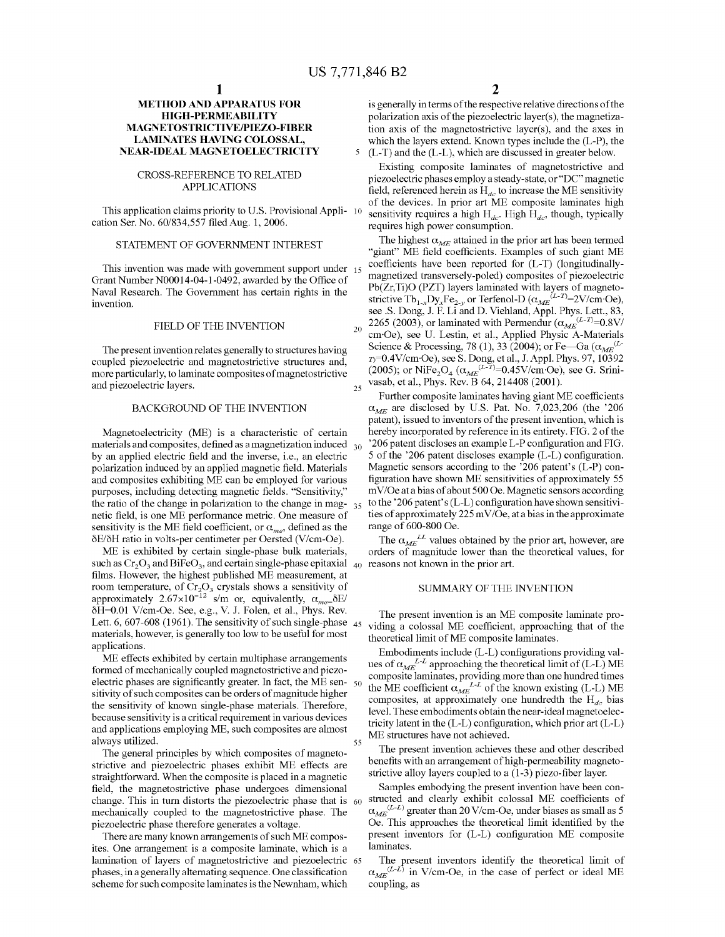20

25

55

## METHOD AND APPARATUS FOR HIGH-PERMEABILITY MAGNETOSTRICTIVE/PIEZO-FIBER LAMINATES HAVING COLOSSAL, NEAR-IDEAL MAGNETOELECTRICITY

### CROSS-REFERENCE TO RELATED APPLICATIONS

This application claims priority to U.S. Provisional Appli- 10 cation Ser. No. 60/834,557 filed Aug. 1, 2006.

### STATEMENT OF GOVERNMENT INTEREST

This invention was made with government support under 15 Grant Number N00014-04-1-0492, awarded by the Office of Naval Research. The Government has certain rights in the invention.

# FIELD OF THE INVENTION

The present invention relates generally to structures having coupled piezoelectric and magnetostrictive structures and, more particularly, to laminate composites of magnetostrictive and piezoelectric layers.

### BACKGROUND OF THE INVENTION

Magnetoelectricity (ME) is a characteristic of certain materials and composites, defined as a magnetization induced 30 by an applied electric field and the inverse, i.e., an electric polarization induced by an applied magnetic field. Materials and composites exhibiting ME can be employed for various purposes, including detecting magnetic fields. "Sensitivity," the ratio of the change in polarization to the change in mag- $_{35}$ netic field, is one ME performance metric. One measure of sensitivity is the ME field coefficient, or  $\alpha_{me}$ , defined as the ESE/5H ratio in volts-per centimeter per Oersted (V/cm-Oe).

ME is exhibited by certain single-phase bulk materials, such as  $Cr_2O_3$  and BiFeO<sub>3</sub>, and certain single-phase epitaxial  $\frac{1}{40}$  reasons not known in the prior art. films. However, the highest published ME measurement, at room temperature, of  $Cr_3O_2$  crystals shows a sensitivity of approximately 2.67 $\times$ 10<sup>-12</sup> s/m or, equivalently,  $\alpha$ <sub>m</sub> $\delta$ E/ 5H:0.01 V/cm-Oe. See, e.g., V. J. Folen, et al., Phys. Rev. Lett. 6, 607-608 (1961). The sensitivity of such single-phase  $_{45}$ materials, however, is generally too low to be useful for most applications.

ME effects exhibited by certain multiphase arrangements formed of mechanically coupled magnetostrictive and piezoformed of mechanically coupled magnetostrictive and piezo-<br>electric phases are significantly greater. In fact, the ME sensitivity of such composites can be orders of magnitude higher the sensitivity of known single-phase materials. Therefore, because sensitivity is a critical requirement in various devices and applications employing ME, such composites are almost always utilized.

The general principles by which composites of magnetostrictive and piezoelectric phases exhibit ME effects are straightforward. When the composite is placed in <sup>a</sup> magnetic field, the magnetostrictive phase undergoes dimensional change. This in turn distorts the piezoelectric phase that is 60 mechanically coupled to the magnetostrictive phase. The piezoelectric phase therefore generates a voltage.

There are many known arrangements of such ME composites. One arrangement is a composite laminate, which is a lamination of layers of magnetostrictive and piezoelectric phases, in a generally alternating sequence. One classification scheme for such composite laminates is the Newnham, which

is generally in terms of the respective relative directions of the polarization axis of the piezoelectric layer $(s)$ , the magnetization axis of the magnetostrictive layer(s), and the axes in which the layers extend. Known types include the (L-P), the (L-T) and the (L-L), which are discussed in greater below.

Existing composite laminates of magnetostrictive and piezoelectric phases employ a steady-state, or "DC" magnetic field, referenced herein as  $H_{dc}$  to increase the ME sensitivity of the devices. In prior art ME composite laminates high sensitivity requires a high  $H_{dc}$ . High  $H_{dc}$ , though, typically requires high power consumption.

The highest  $\alpha_{ME}$  attained in the prior art has been termed "giant" ME field coefficients. Examples of such giant ME coefficients have been reported for (L-T) (longitudinallymagnetized transversely-poled) composites of piezoelectric Pb(Zr,Ti)O (PZT) layers laminated with layers of magnetostrictive Tb<sub>1</sub>, Dv, Fe<sub>2y</sub> or Terfenol-D  $(\alpha_{ME}^{(L-T)}=2V/cm \cdot \text{Oe})$ , see .8. Dong, J. F. Li and D. Viehland, Appl. Phys. Lett., 83, 2265 (2003), or laminated with Permendur  $(\alpha_{\text{MSE}}^{(L-T)}=0.8V/k$ cm~Oe), see U. Lestin, et al., Applied Physic A-Materials Science & Processing, 78 (1), 33 (2004); or Fe—Ga ( $\alpha_{ME}^{(L)}$  $n=0.4$ V/cm·Oe), see S. Dong, et al., J. Appl. Phys. 97, 10392 (2005); or NiFe<sub>2</sub>O<sub>4</sub> ( $\alpha_{\text{max}}^{(L-T)}$ =0.45V/cm·Oe), see G. Srinivasab, et al., Phys. Rev. B 64, 214408 (2001).

Further composite laminates having giant ME coefficients  $\alpha_{ME}$  are disclosed by U.S. Pat. No. 7,023,206 (the '206 patent), issued to inventors of the present invention, which is hereby incorporated by reference in its entirety. FIG. 2 of the '206 patent discloses an example L-P configuration and FIG. 5 of the '206 patent discloses example (L-L) configuration. Magnetic sensors according to the '206 patent's (L-P) configuration have shown ME sensitivities of approximately <sup>55</sup>  $mV/Oe$  at a bias of about 500 Oe. Magnetic sensors according to the '206 patent's  $(L-L)$  configuration have shown sensitivities of approximately 225 mV/Oe, at a bias in the approximate range of 600-800 Oe.

The  $\alpha_{\text{MSE}}$  values obtained by the prior art, however, are orders of magnitude lower than the theoretical values, for

### SUMMARY OF THE INVENTION

The present invention is an ME composite laminate providing <sup>a</sup> colossal ME coefficient, approaching that of the theoretical limit of ME composite laminates.

Embodiments include (L-L) configurations providing values of  $\alpha_{ME}^{LL}$  approaching the theoretical limit of (L-L) ME composite laminates, providing more than one hundred times<br>the ME coefficient  $\alpha_{kT}L^L$  of the known existing (L-L) ME composites, at approximately one hundredth the H<sub>dc</sub> bias level. These embodiments obtain the near-ideal magnetoelectricity latent in the (L-L) configuration, which prior art (L-L) ME structures have not achieved.

The present invention achieves these and other described benefits with an arrangement of high-permeability magnetostrictive alloy layers coupled to a (1-3) piezo-fiber layer.

Samples embodying the present invention have been constructed and clearly exhibit colossal ME coefficients of  $\alpha_{ME}^{(L-L)}$  greater than 20 V/cm-Oe, under biases as small as 5 Oe. This approaches the theoretical limit identified by the present inventors for (L-L) configuration ME composite laminates.

The present inventors identify the theoretical limit of  $\alpha_{\text{L}}e^{(L\text{-}L)}$  in V/cm-Oe, in the case of perfect or ideal ME coupling, as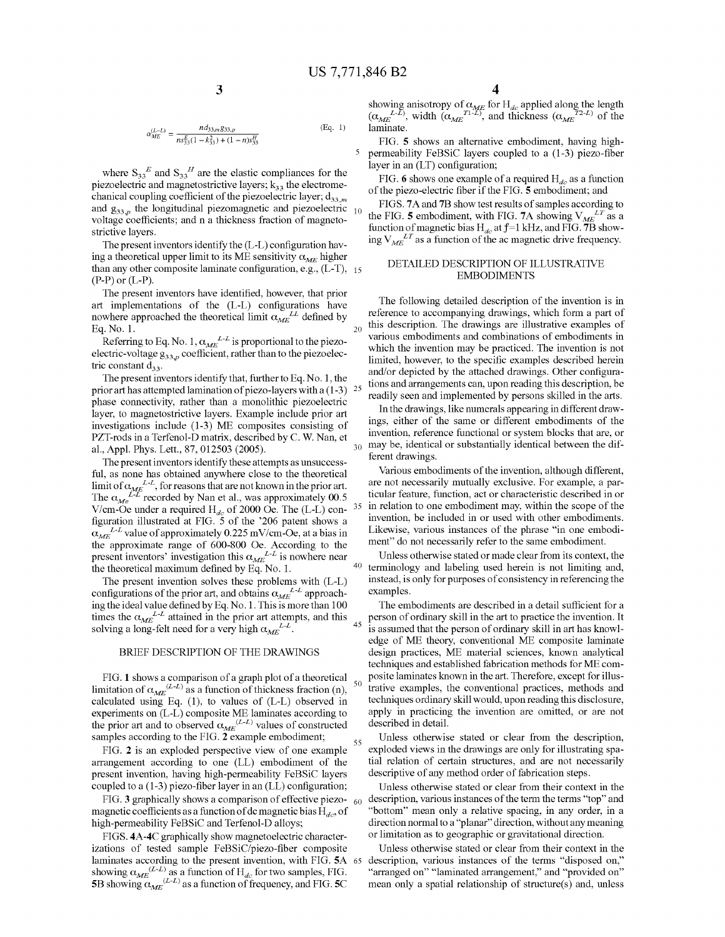20

40

45

55

$$
US 7,7
$$
  

$$
\frac{3}{\alpha_{ME}^{(L-L)}} = \frac{nds_{33,m}g_{33,p}}{n s_{33}^{E}(1 - k_{33}^{2}) + (1 - n)s_{33}^{H}}
$$
(Eq. 1)

where  $S_{33}^E$  and  $S_{33}^H$  are the elastic compliances for the piezoelectric and magnetostrictive layers;  $k_{33}$  the electromechanical coupling coefficient of the piezoelectric layer;  $d_{33,m}$ and  $g_{33,p}$  the longitudinal piezomagnetic and piezoelectric voltage coefficients; and n a thickness fraction of magnetostrictive layers.

The present inventors identify the (L-L) configuration having a theoretical upper limit to its ME sensitivity  $\alpha_{MF}$  higher than any other composite laminate configuration, e.g.,  $(L-T)$ , 15  $(P-P)$  or  $(L-P)$ .

The present inventors have identified, however, that prior art implementations of the (L-L) configurations have nowhere approached the theoretical limit  $\alpha_{ME}^{LL}$  defined by Eq. No. 1.

Referring to Eq. No. 1,  $\alpha_{ME}^{L-L}$  is proportional to the piezoelectric-voltage  $g_{33,p}$  coefficient, rather than to the piezoelectric constant  $d_{33}$ .

The present inventors identify that, further to Eq. No. l, the prior art has attempted lamination of piezo-layers with a  $(1-3)$   $25$ phase connectivity, rather than a monolithic piezoelectric layer, to magnetostrictive layers. Example include prior art investigations include (1-3) ME composites consisting of PZT-rods in a Terfenol-D matrix, described by C. W. Nan, et al., Appl. Phys. Lett., 87, 012503 (2005). 30

The present inventors identify these attempts as unsuccessful, as none has obtained anywhere close to the theoretical limit of  $\alpha_{\text{MSE}}^{L-L}$ , for reasons that are not known in the prior art. The  $\alpha_{\nu}L^{L}$  recorded by Nan et al., was approximately 00.5 V/cm-Oe under a required H<sub>de</sub> of 2000 Oe. The  $(L-L)$  con-  $35$ figuration illustrated at FIG. 5 of the '206 patent shows a  $\alpha_{ME}^{L-L}$  value of approximately 0.225 mV/cm-Oe, at a bias in the approximate range of 600-800 Oe. According to the present inventors' investigation this  $\alpha_{\text{max}}^{L-L}$  is nowhere near the theoretical maximum defined by Eq. No. l.

The present invention solves these problems with (L-L) configurations of the prior art, and obtains  $\alpha_{ME}^{L-L}$  approaching the ideal value defined by Eq. No. <sup>l</sup> . This is more than 100 times the  $\alpha_{ME}^{L-L}$  attained in the prior art attempts, and this solving a long-felt need for a very high  $\alpha_{ME}^{L-L}$ .

# BRIEF DESCRIPTION OF THE DRAWINGS

FIG. 1 shows a comparison of a graph plot of a theoretical  $_{50}$ limitation of  $\alpha_{ME}^{(L-L)}$  as a function of thickness fraction (n), calculated using Eq. (1), to values of (L-L) observed in calculated using Eq. (1), to values of  $(L-L)$  observed in<br>experiments on  $(L-L)$  composite ME laminates according to the prior art and to observed  $\alpha_{\text{MSE}}^{(L-L)}$  values of constructed samples according to the FIG.  $\widetilde{2}$  example embodiment:

FIG. 2 is an exploded perspective view of one example arrangement according to one (LL) embodiment of the present invention, having high-permeability FeBSiC layers coupled to a (1-3) piezo-fiber layer in an (LL) configuration;

FIG. 3 graphically shows a comparison of effective piezo-  $60$ magnetic coefficients as a function of dc magnetic bias  $H_{dc}$ , of high-permeability FeBSiC and Terfenol-D alloys;

FIGS. 4A-4C graphically show magnetoelectric characterizations of tested sample FeBSiC/piezo-fiber composite laminates according to the present invention, with FIG. 5A showing  $\alpha_{\text{MSE}}^{(L-L)}$  as a function of H<sub>de</sub> for two samples. FIG. 5B showing  $\alpha_{\text{MSE}}^{(L-L)}$  as a function of frequency, and FIG. 5C 65

showing anisotropy of  $\alpha_{\text{MSE}}$  for H<sub>de</sub> applied along the length  $(\alpha_{\text{MSE}} L^L)$ , width  $(\alpha_{\text{MSE}} T^L L)$ , and thickness  $(\alpha_{\text{MSE}} T^L L)$  of the laminate.

FIG. 5 shows an alternative embodiment, having highpermeability FeBSiC layers coupled to a (1-3) piezo-fiber layer in an (LT) configuration;

FIG. 6 shows one example of a required  $H_{dc}$  as a function of the piezo-electric fiber if the FIG. 5 embodiment; and

FIGS. 7A and 7B show test results of samples according to the FIG. 5 embodiment, with FIG. 7A showing  $V_{ME}^{LT}$  as a function of magnetic bias  $H_{dc}$  at  $f=1$  kHz, and FIG. 7B showing  $V_{ME}^{LT}$  as a function of the ac magnetic drive frequency.

### DETAILED DESCRIPTION OF ILLUSTRATIVE EMBODIMENTS

The following detailed description of the invention is in reference to accompanying drawings, which form a part of this description. The drawings are illustrative examples of various embodiments and combinations of embodiments in which the invention may be practiced. The invention is not limited, however, to the specific examples described herein and/or depicted by the attached drawings. Other configurations and arrangements can, upon reading this description, be readily seen and implemented by persons skilled in the arts.

In the drawings, like numerals appearing in different drawings, either of the same or different embodiments of the invention, reference functional or system blocks that are, or may be, identical or substantially identical between the different drawings.

Various embodiments of the invention, although different, are not necessarily mutually exclusive. For example, a particular feature, function, act or characteristic described in or in relation to one embodiment may, within the scope of the invention, be included in or used with other embodiments. Likewise, various instances of the phrase "in one embodiment" do not necessarily refer to the same embodiment.

Unless otherwise stated or made clear from its context, the terminology and labeling used herein is not limiting and, instead, is only for purposes of consistency in referencing the examples.

The embodiments are described in a detail sufficient for a person of ordinary skill in the art to practice the invention. It is assumed that the person of ordinary skill in art has knowledge of ME theory, conventional ME composite laminate design practices, ME material sciences, known analytical techniques and established fabrication methods for ME composite laminates known in the art. Therefore, except for illustrative examples, the conventional practices, methods and techniques ordinary skill would, upon reading this disclosure, apply in practicing the invention are omitted, or are not described in detail.

Unless otherwise stated or clear from the description, exploded views in the drawings are only for illustrating spatial relation of certain structures, and are not necessarily descriptive of any method order of fabrication steps.

Unless otherwise stated or clear from their context in the description, various instances of the term the terms "top" and "bottom" mean only a relative spacing, in any order, in a direction normal to a "planar" direction, without any meaning or limitation as to geographic or gravitational direction.

Unless otherwise stated or clear from their context in the description, various instances of the terms "disposed on," "arranged on" "laminated arrangement," and "provided on" mean only a spatial relationship of structure(s) and, unless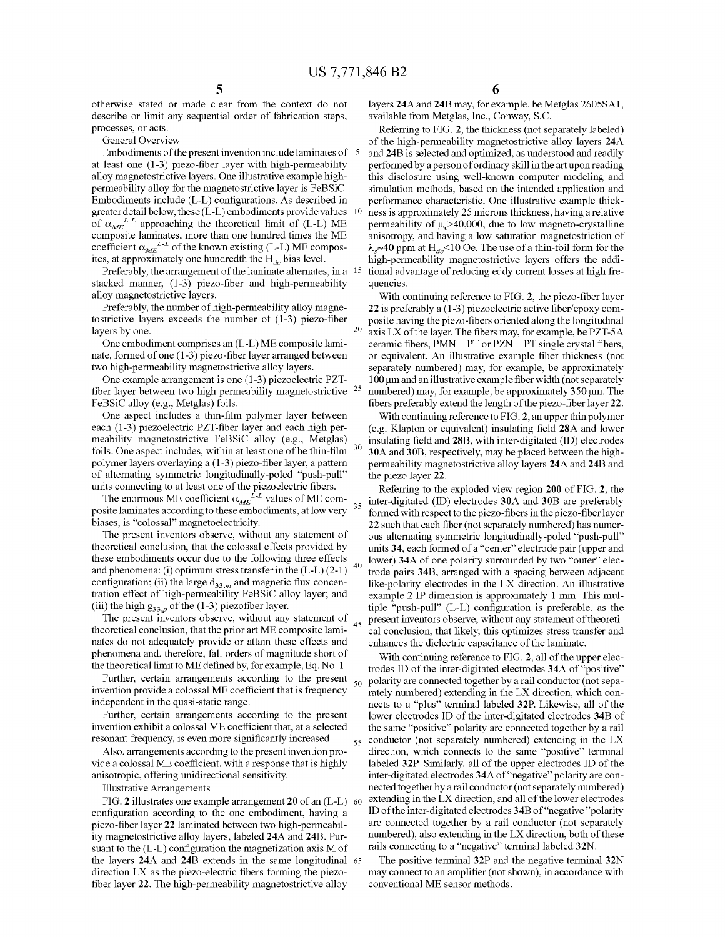$40$ 

otherwise stated or made clear from the context do not describe or limit any sequential order of fabrication steps, processes, or acts.

General Overview

Embodiments of the present invention include laminates of  $\bar{5}$ at least one (1-3) piezo-fiber layer with high-permeability alloy magnetostrictive layers. One illustrative example highpermeability alloy for the magnetostrictive layer is FeBSiC. Embodiments include (L-L) configurations. As described in greater detail below, these (L-L) embodiments provide values greater detail below, these (E-E) emboddments provide values<br>of  $\alpha_{\text{tot}}^{L-L}$  approaching the theoretical limit of (L-L) ME or  $\alpha_{ME}$  approaching the theoretical film of (L-L) ME<br>composite laminates, more than one hundred times the ME composite rannizities, more man one nuntried times the ME<br>coefficient  $\alpha_{\lambda\alpha}E^{-L}$  of the known existing (L-L) ME composcoefficient  $\alpha_{ME}$  of the known existing (E-E) ME contributions. 10

Preferably, the arrangement of the laminate alternates, in a 15 stacked manner, (1-3) piezo-fiber and high-permeability alloy magnetostrictive layers.

Preferably, the number of high-permeability alloy magnetostrictive layers exceeds the number of (1-3) piezo-fiber layers by one.

One embodiment comprises an (L-L) ME composite laminate, formed of one (1-3) piezo-fiber layer arranged between two high-permeability magnetostrictive alloy layers.

One example arrangement is one (1-3) piezoelectric PZTfiber layer between two high permeability magnetostrictive  $25$ FeBSiC alloy (e.g., Metglas) foils.

One aspect includes a thin-film polymer layer between each (1-3) piezoelectric PZT—fiber layer and each high permeability magnetostrictive FeBSiC alloy (e.g., Metglas) foils. One aspect includes, within at least one of he thin-film polymer layers overlaying a (1-3) piezo-fiber layer, a pattern of alternating symmetric longitudinally-poled "push-pull" units connecting to at least one of the piezoelectric fibers.

The enormous ME coefficient  $\alpha_{\text{L}}E^{\text{L}}$  values of ME composite laminates according to these embodiments, at low very  $35$ biases, is "colossal" magnetoelectricity.

The present inventors observe, without any statement of theoretical conclusion, that the colossal effects provided by these embodiments occur due to the following three effects and phenomena: (i) optimum stress transfer in the (L-L) (2-1) configuration; (ii) the large  $d_{33,m}$  and magnetic flux concentration effect of high-permeability FeBSiC alloy layer; and (iii) the high  $g_{33,p}$  of the (1-3) piezofiber layer.

The present inventors observe, without any statement of theoretical conclusion, that the prior art ME composite laminates do not adequately provide or attain these effects and phenomena and, therefore, fall orders of magnitude short of the theoretical limit to ME defined by, for example, Eq. No. <sup>l</sup> . 45

Further, certain arrangements according to the present  $_{50}$ invention provide <sup>a</sup> colossal ME coefficient that is frequency independent in the quasi-static range.

Further, certain arrangements according to the present invention exhibit <sup>a</sup> colossal ME coefficient that, at <sup>a</sup> selected resonant frequency, is even more significantly increased.

Also, arrangements according to the present invention provide <sup>a</sup> colossal ME coefficient, with <sup>a</sup> response that is highly anisotropic, offering unidirectional sensitivity.

Illustrative Arrangements

FIG. 2 illustrates one example arrangement 20 of an  $(L-L)$  60 configuration according to the one embodiment, having a piezo-fiber layer 22 laminated between two high-permeability magnetostrictive alloy layers, labeled 24A and 24B. Pursuant to the (L-L) configuration the magnetization axis M of the layers 24A and 24B extends in the same longitudinal 65 direction LX as the piezo-electric fibers forming the piezofiber layer 22. The high-permeability magnetostrictive alloy

layers 24A and 24B may, for example, be Metglas 26OSSA1, available from Metglas, Inc., Conway, SC.

Referring to FIG. 2, the thickness (not separately labeled) of the high-permeability magnetostrictive alloy layers 24A and 24B is selected and optimized, as understood and readily performed by a person ofordinary skill in the art upon reading this disclosure using well-known computer modeling and simulation methods, based on the intended application and performance characteristic. One illustrative example thickness is approximately 25 microns thickness, having a relative permeability of  $\mu$  >40,000, due to low magneto-crystalline anisotropy, and having a low saturation magnetostriction of  $\lambda_s \approx 40$  ppm at H<sub>dc</sub><10 Oe. The use of a thin-foil form for the high-permeability magnetostrictive layers offers the additional advantage of reducing eddy current losses at high frequencies.

With continuing reference to FIG. 2, the piezo-fiber layer 22 is preferably a (1-3) piezoelectric active fiber/epoxy composite having the piezo-fibers oriented along the longitudinal axis LX ofthe layer. The fibers may, for example, be PZT—SA ceramic fibers, PMN-PT or PZN-PT single crystal fibers, or equivalent. An illustrative example fiber thickness (not separately numbered) may, for example, be approximately 100 um and an illustrative example fiber width (not separately numbered) may, for example, be approximately 350 um. The fibers preferably extend the length of the piezo-fiber layer 22.

With continuing reference to FIG. 2, an upper thin polymer (e.g. Klapton or equivalent) insulating field 28A and lower insulating field and 28B, with inter-digitated (ID) electrodes 30A and 30B, respectively, may be placed between the highpermeability magnetostrictive alloy layers 24A and 24B and the piezo layer 22.

Referring to the exploded view region 200 of FIG. 2, the inter-digitated (ID) electrodes 30A and 30B are preferably formed with respect to the piezo -fibers in the piezo-fiber layer 22 such that each fiber (not separately numbered) has numerous alternating symmetric longitudinally-poled "push-pull" units 34, each formed of a "center" electrode pair (upper and lower) 34A of one polarity surrounded by two "outer" electrode pairs 34B, arranged with a spacing between adjacent like-polarity electrodes in the LX direction. An illustrative example 2 IP dimension is approximately <sup>1</sup> mm. This multiple "push-pull" (L-L) configuration is preferable, as the present inventors observe, without any statement of theoretical conclusion, that likely, this optimizes stress transfer and enhances the dielectric capacitance of the laminate.

<sub>55</sub> conductor (not separately numbered) extending in the LX With continuing reference to FIG. 2, all of the upper electrodes ID of the inter-digitated electrodes 34A of "positive" polarity are connected together by a rail conductor (not separately numbered) extending in the LX direction, which connects to a "plus" terminal labeled 32P. Likewise, all of the lower electrodes ID of the inter-digitated electrodes 34B of the same "positive" polarity are connected together by a rail direction, which connects to the same "positive" terminal labeled 32P. Similarly, all of the upper electrodes ID of the inter-digitated electrodes 34A of "negative" polarity are connected together by a rail conductor (not separately numbered) extending in the LX direction, and all of the lower electrodes ID ofthe inter-digitated electrodes 34B of"negative "polarity are connected together by a rail conductor (not separately numbered), also extending in the LX direction, both of these rails connecting to a "negative" terminal labeled 32N.

The positive terminal 32P and the negative terminal 32N may connect to an amplifier (not shown), in accordance with conventional ME sensor methods.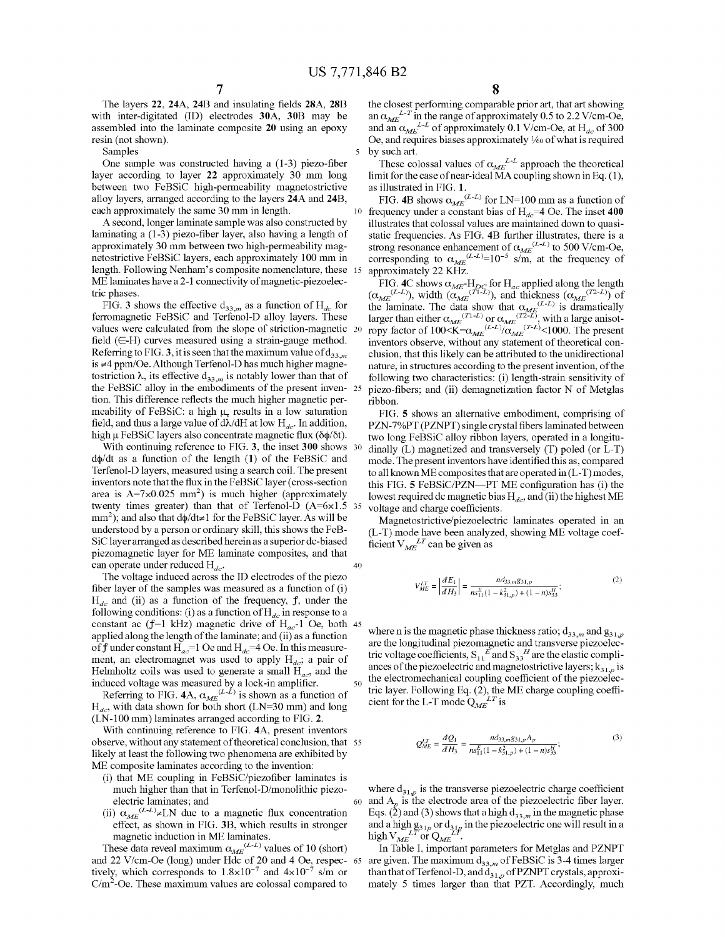5

15

The layers 22, 24A, 24B and insulating fields 28A, 28B with inter-digitated (ID) electrodes 30A, 30B may be assembled into the laminate composite 20 using an epoxy resin (not shown).

Samples

One sample was constructed having a (1-3) piezo-fiber layer according to layer <sup>22</sup> approximately <sup>30</sup> mm long between two FeBSiC high-permeability magnetostrictive alloy layers, arranged according to the layers 24A and 24B, each approximately the same <sup>30</sup> mm in length.

A second, longer laminate sample was also constructed by laminating a (1-3) piezo-fiber layer, also having a length of approximately <sup>30</sup> mm between two high-permeability magnetostrictive FeBSiC layers, each approximately <sup>100</sup> mm in length. Following Nenham's composite nomenclature, these ME laminates have a 2-1 connectivity of magnetic-piezoelectric phases.

FIG. 3 shows the effective  $d_{33,m}$  as a function of  $H_{dc}$  for ferromagnetic FeBSiC and Terfenol-D alloy layers. These values were calculated from the slope of striction-magnetic 20 field  $( \in H)$  curves measured using a strain-gauge method. Referring to FIG. 3, it is seen that the maximum value of  $d_{33,m}$ is #4 ppm/Oe. Although Terfenol-D has much higher magnetostriction  $\lambda$ , its effective  $d_{33,m}$  is notably lower than that of the FeBSiC alloy in the embodiments of the present inven- 25 tion. This difference reflects the much higher magnetic permeability of FeBSiC: a high  $\mu_{\tau}$  results in a low saturation field, and thus a large value of  $d\lambda/dH$  at low  $H_{dc}$ . In addition, high  $\mu$  FeBSiC layers also concentrate magnetic flux ( $\delta \phi / \delta t$ ).

With continuing reference to FIG. 3, the inset 300 shows 30  $d\phi/dt$  as a function of the length  $(1)$  of the FeBSiC and Terfenol-D layers, measured using a search coil. The present inventors note that the flux in the FeBSiC layer (cross-section area is  $A=7\times0.025$  mm<sup>2</sup>) is much higher (approximately twenty times greater) than that of Terfenol-D  $(A=6\times1.5$  $mm<sup>2</sup>$ ); and also that d $\phi$ /dt $\neq$ 1 for the FeBSiC layer. As will be understood by a person or ordinary skill, this shows the FeB-SiC layer arranged as described herein as a superior dc-biased piezomagnetic layer for ME laminate composites, and that can operate under reduced  $H_{dc}$ . 35 40

The voltage induced across the ID electrodes of the piezo fiber layer of the samples was measured as a function of (i)  $H_{dc}$  and (ii) as a function of the frequency, f, under the following conditions: (i) as a function of  $H_{dc}$  in response to a constant ac  $(f=1 \text{ kHz})$  magnetic drive of H<sub>ag</sub>-l Oe, both 45 applied along the length of the laminate; and (ii) as a function of f under constant  $H_{ac} = 1$  Oe and  $H_{dc} = 4$  Oe. In this measurement, an electromagnet was used to apply  $H_{dc}$ ; a pair of Helmholtz coils was used to generate a small  $H_{ac}$ , and the induced voltage was measured by a lock-in amplifier. 50

Referring to FIG. 4A,  $\alpha_{\text{max}}^{(L\bar{L})}$  is shown as a function of  $H_{dc}$ , with data shown for both short (LN=30 mm) and long (LN-100 mm) laminates arranged according to FIG. 2.

With continuing reference to FIG. 4A, present inventors observe, without any statement of theoretical conclusion, that 55 likely at least the following two phenomena are exhibited by ME composite laminates according to the invention:

- (i) that ME coupling in FeBSiC/piezofiber laminates is much higher than that in Terfenol-D/monolithic piezoelectric laminates; and
- (ii)  $\alpha_{ME}^{(L-L)} \neq LN$  due to a magnetic flux concentration effect, as shown in FIG. 3B, which results in stronger magnetic induction in ME laminates.

These data reveal maximum  $\alpha_{ME}^{(L-L)}$  values of 10 (short) and 22 V/cm-Oe (long) under Hdc of 20 and 4 Oe, respec- 65 tively, which corresponds to  $1.8 \times 10^{-7}$  and  $4 \times 10^{-7}$  s/m or  $C/m<sup>2</sup>$ -Oe. These maximum values are colossal compared to

the closest performing comparable prior art, that art showing an  $\alpha_{ME}^{L-T}$  in the range of approximately 0.5 to 2.2 V/cm-Oe, and an  $\alpha_{ME}^{L-L}$  of approximately 0.1 V/cm-Oe, at H<sub>dc</sub> of 300 Oe, and requires biases approximately  $1/60$  of what is required by such art.

These colossal values of  $\alpha_{ME}^{L-L}$  approach the theoretical limit for the case of near-ideal MA coupling shown in Eq.  $(1)$ , as illustrated in FIG. 1.

FIG. 4B shows  $\alpha_{ME}^{(L-L)}$  for LN=100 mm as a function of frequency under a constant bias of  $H_{dc}$ =4 Oe. The inset 400 illustrates that colossal values are maintained down to quasistatic frequencies. As FIG. 4B further illustrates, there is a strong resonance enhancement of  $\alpha_{\text{max}}^{(L-L)}$  to 500 V/cm-Oe. corresponding to  $\alpha_{\text{A}}e^{(L-L)}=10^{-5}$  s/m, at the frequency of approximately 22 KHZ.

FIG. 4C shows  $\alpha_{\text{max}}$ -H<sub>DC</sub> for H<sub>ac</sub> applied along the length  $(\alpha_{\text{MSE}}^{(L-L)})$ , width  $(\alpha_{\text{MSE}}^{(L-L)})$ , and thickness  $(\alpha_{\text{MSE}}^{(T2-L)})$  of the laminate. The data show that  $\alpha_{\text{MSE}}^{(L-L)}$  is dramatically larger than either  $\alpha_{\text{max}}^{(T_1-L)}$  or  $\alpha_{\text{max}}^{(T_2-L)}$ , with a large anisotropy factor of  $100 < K = \alpha_{\text{max}} (L-L)/\alpha_{\text{max}} (L-L) < 1000$ . The present inventors observe, without any statement of theoretical conclusion, that this likely can be attributed to the unidirectional nature, in structures according to the present invention, of the following two characteristics: (i) length-strain sensitivity of piezo-fibers; and (ii) demagnetization factor N of Metglas ribbon.

FIG. 5 shows an alternative embodiment, comprising of PZN—7%PT (PZNPT) single crystal fibers laminated between two long FeBSiC alloy ribbon layers, operated in a longitudinally (L) magnetized and transversely (T) poled (or L-T) mode. The present inventors have identified this as, compared to all known ME composites that are operated in (L-T) modes, this FIG.  $5$  FeBSiC/PZN—PT ME configuration has (i) the lowest required dc magnetic bias  $H_{dc}$ , and (ii) the highest ME voltage and charge coefficients.

Magnetostrictive/piezoelectric laminates operated in an (L-T) mode have been analyzed, showing ME voltage coefficient  $V_{ME}^{LT}$  can be given as

$$
V_{ME}^{LT} = \left| \frac{dE_1}{dH_3} \right| = \frac{nd_{33,m}g_{31,p}}{ns_{11}^E (1 - k_{31,p}^2) + (1 - n)s_{33}^H};
$$
\n(2)

where n is the magnetic phase thickness ratio;  $d_{33,m}$  and  $g_{31,p}$ are the longitudinal piezomagnetic and transverse piezoelectric voltage coefficients,  $S_1$   $\tilde{E}$  and  $S_2$  $\tilde{H}$  are the elastic compliances of the piezoelectric and magnetostrictive layers;  $k_{31,p}$  is<br>the electromechanical coupling coefficient of the piezoelec-<br>tric layer. Following Eq. (2), the ME charge coupling coeffi-<br>cient for the L-T mode  $Q_{ME}^{LT$ the electromechanical coupling coefficient of the piezoelectric layer. Following Eq. (2), the ME charge coupling coefficient for the L-T mode  $Q_{ME}^{LT}$  is

$$
Q_{ME}^{LT} = \frac{dQ_1}{dH_3} = \frac{nd_{33,m}g_{31,p}A_p}{n s_{11}^F (1 - k_{31,p}^2) + (1 - n)s_{33}^H};
$$
\n(3)

 $\overline{60}$  and A<sub>r</sub> is the electrode area of the piezoelectric fiber layer. where  $d_{31,p}$  is the transverse piezoelectric charge coefficient Eqs. (2) and (3) shows that a high  $d_{33,m}$  in the magnetic phase and a high  $g_{31}$  or  $d_{31}$  in the piezoelectric one will result in a high  $V_{\text{per}}^{LT}$  or  $O_{\text{per}}^{LT}$ .

In Table I, important parameters for Metglas and PZNPT are given. The maximum  $d_{3,3,m}$  of FeBSiC is 3-4 times larger than that of Terfenol-D, and  $d_{31,p}$  of PZNPT crystals, approximately <sup>5</sup> times larger than that PZT. Accordingly, much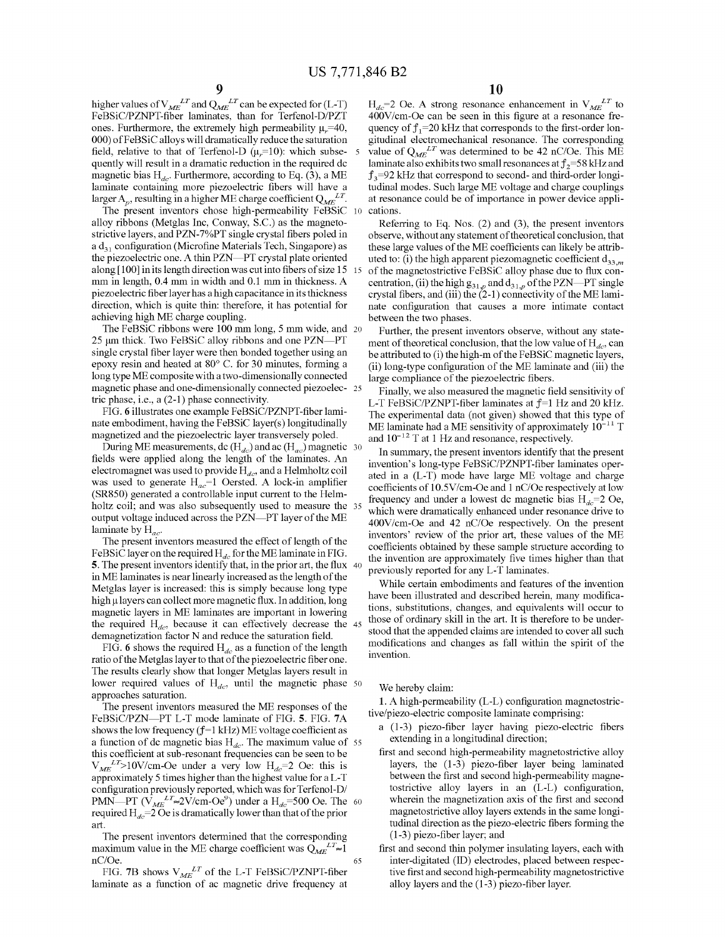15

higher values of  $V_{\text{max}}^{LT}$  and  $\Omega_{\text{max}}^{LT}$  can be expected for (L-T) FeBSiC/PZNPT—fiber laminates, than for Terfenol-D/PZT ones. Furthermore, the extremely high permeability  $\mu_r = 40$ , 000) ofFeBSiC alloys will dramatically reduce the saturation field, relative to that of Terfenol-D  $(\mu_r=10)$ : which subsequently will result in a dramatic reduction in the required dc magnetic bias  $H_{dc}$ . Furthermore, according to Eq. (3), a ME laminate containing more piezoelectric fibers will have a larger  $A_p$ , resulting in a higher ME charge coefficient  $Q_{ME}^{LT}$ .

The present inventors chose high-permeability FeBSiC alloy ribbons (Metglas Inc, Conway, SC.) as the magnetostrictive layers, and PZN—7%PT single crystal fibers poled in a  $d_{31}$  configuration (Microfine Materials Tech, Singapore) as the piezoelectric one. A thin PZN-PT crystal plate oriented along [100] in its length direction was cut into fibers of size 15 mm in length, 0.4 mm in width and 0.1 mm in thickness. A piezoelectric fiber layer has a high capacitance in its thickness direction, which is quite thin: therefore, it has potential for achieving high ME charge coupling.

neving mgn ME cnarge couping.<br>The FeBSiC ribbons were 100 mm long, 5 mm wide, and 20  $25 \mu m$  thick. Two FeBSiC alloy ribbons and one PZN-PT single crystal fiber layer were then bonded together using an epoxy resin and heated at 80° C. for 30 minutes, forming a long type ME composite with <sup>a</sup> two-dimensionally connected magnetic phase and one-dimensionally connected piezoelec-25 tric phase, i.e., a (2-1) phase connectivity.

FIG. 6 illustrates one example FeBSiC/PZNPT—fiber laminate embodiment, having the FeBSiC layer(s) longitudinally magnetized and the piezoelectric layer transversely poled.

igneuzed and the prezoerectric layer transversely poled.<br>During ME measurements, dc (H<sub>ag</sub>) and ac (H<sub>ag</sub>) magnetic 30 fields were applied along the length of the laminates. An electromagnet was used to provide  $H_{dc}$ , and a Helmholtz coil was used to generate  $H_{ac}$ =1 Oersted. A lock-in amplifier (SR850) generated a controllable input current to the Helmholtz coil: and was also subsequently used to measure the 35 output voltage induced across the PZN-PT layer of the ME laminate by  $H_{ac}$ .

The present inventors measured the effect of length of the FeBSiC layer on the required  $H_{dc}$  for the ME laminate in FIG. **5**. The present inventors identify that, in the prior art, the flux  $\frac{40}{3}$ in ME laminates is near linearly increased as the length of the Metglas layer is increased: this is simply because long type high µ layers can collect more magnetic flux. In addition, long magnetic layers in ME laminates are important in lowering magnetic layers in the familiates are important in fowering<br>the required  $H_{\tau}$ , because it can effectively decrease the 45 demagnetization factor N and reduce the saturation field.

FIG. 6 shows the required  $H_{dc}$  as a function of the length ratio of the Metglas layer to that of the piezoelectric fiber one. The results clearly show that longer Metglas layers result in lower required values of  $H_d$ , until the magnetic phase  $50$ approaches saturation.

The present inventors measured the ME responses of the FeBSiC/PZN---PT L-T mode laminate of FIG. 5. FIG. 7A shows the low frequency  $(f=1 \text{ kHz})$  ME voltage coefficient as shows the low requency  $($   $)$  –1 KHz) will voltage coefficient as<br>a function of de magnetic bias H<sub>z</sub>. The maximum value of 55 this coefficient at sub-resonant frequencies can be seen to be  $V_{ME}^{LT}$ >10V/cm-Oe under a very low  $H_{dc}$ =2 Oe: this is approximately 5 times higher than the highest value for a L-T configuration previously reported, which was for Terfenol-D/ comiguration previously reported, which was for Terletion-Dr<br>PMN—PT (V<sub>ME</sub><sup>LT</sup> $\approx$ 2V/cm-Oe<sup>9</sup>) under a H<sub>d</sub>=500 Oe. The 60 required  $H_{dc}$ =2 Oe is dramatically lower than that of the prior art.

The present inventors determined that the corresponding maximum value in the ME charge coefficient was  $Q_{ME}^{LT} \approx 1$ nC/Oe. 65

FIG. 7B shows  $V_{\text{MSE}}^{LT}$  of the L-T FeBSiC/PZNPT-fiber laminate as a function of ac magnetic drive frequency at  $H_{dc}$ =2 Oe. A strong resonance enhancement in  $V_{ME}^{LT}$  to 400V/cm-Oe can be seen in this figure at a resonance frequency of  $f_1$ =20 kHz that corresponds to the first-order longitudinal electromechanical resonance. The corresponding value of  $Q_{ME}^{LT}$  was determined to be 42 nC/Oe. This ME laminate also exhibits two small resonances at  $f_2$ =58 kHz and  $f_3$ =92 kHz that correspond to second- and third-order longitudinal modes. Such large ME voltage and charge couplings at resonance could be of importance in power device applications.

Referring to Eq. Nos. (2) and (3), the present inventors observe, without any statement of theoretical conclusion, that these large values of the ME coefficients can likely be attributed to: (i) the high apparent piezomagnetic coefficient  $d_{33,m}$ of the magnetostrictive FeBSiC alloy phase due to flux concentration, (ii) the high  $g_{31}$  , and  $d_{31}$  of the PZN—PT single centration, (ii) the mgn  $g_{31,p}$  and  $g_{31,p}$  of the PZN—P 1 single<br>crystal fibers, and (iii) the (2-1) connectivity of the ME laminate configuration that causes a more intimate contact between the two phases.

Further, the present inventors observe, without any statement of theoretical conclusion, that the low value of  $H_{dc}$ , can be attributed to (i) the high-m of the FeBSiC magnetic layers, (ii) long-type configuration of the ME laminate and (iii) the large compliance of the piezoelectric fibers.

Finally, we also measured the magnetic field sensitivity of L-T FeBSiC/PZNPT-fiber laminates at  $f=1$  Hz and 20 kHz. The experimental data (not given) showed that this type of ME laminate had a ME sensitivity of approximately  $10^{-11}$  T and  $10^{-12}$  T at 1 Hz and resonance, respectively.

In summary, the present inventors identify that the present invention's long-type FeBSiC/PZNPT—fiber laminates operated in <sup>a</sup> (L-T) mode have large ME voltage and charge coefficients of 10.5V/cm-Oe and <sup>1</sup> nC/Oe respectively at low frequency and under a lowest dc magnetic bias  $H_{dc}$ =2 Oe, which were dramatically enhanced under resonance drive to 400V/cm-Oe and 42 nC/Oe respectively. On the present inventors' review of the prior art, these values of the ME coefficients obtained by these sample structure according to the invention are approximately five times higher than that previously reported for any L-T laminates.

While certain embodiments and features of the invention have been illustrated and described herein, many modifications, substitutions, changes, and equivalents will occur to those of ordinary skill in the art. It is therefore to be understood that the appended claims are intended to cover all such modifications and changes as fall within the spirit of the invention.

We hereby claim:

1. A high-permeability (L-L) configuration magnetostrictive/piezo-electric composite laminate comprising:

- a (1-3) piezo-fiber layer having piezo-electric fibers extending in a longitudinal direction;
- first and second high-permeability magnetostrictive alloy layers, the (1-3) piezo-fiber layer being laminated between the first and second high-permeability magnetostrictive alloy layers in an (L-L) configuration, wherein the magnetization axis of the first and second magnetostrictive alloy layers extends in the same longitudinal direction as the piezo-electric fibers forming the (1-3) piezo-fiber layer; and
- first and second thin polymer insulating layers, each with inter-digitated (ID) electrodes, placed between respective first and second high-permeability magnetostrictive alloy layers and the (1 -3) piezo-fiber layer.